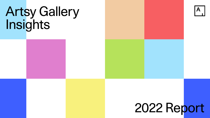# 2022 Report



## Artsy Gallery Insights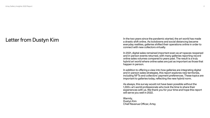In the two years since the pandemic started, the art world has made a drastic shift online. As lockdowns and social distancing became everyday realities, galleries shifted their operations online in order to connect with new collectors virtually.

In 2021, digital sales remained important even as art spaces reopened and in-person events returned, with many galleries reporting record online sales volumes compared to years past. The result is a truly hybrid art world where online sales are just as important as those that happen in person.

In addition to offering a view into how galleries are integrating digital and in-person sales strategies, this report explores new territories, including NFTs and collectors' payment preferences. These topics are important to galleries today, reflecting the new hybrid norm.

As always, this survey would not have been possible without the 1,300+ art-world professionals who took the time to share their experiences with us. We thank you for your time and hope this report will serve you well in 2022.

Warmly, Dustyn Kim Chief Revenue Officer, Artsy







## Letter from Dustyn Kim

Artsy Gallery Insights: 2022 Report 2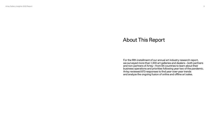For the fifth installment of our annual art industry research report, we surveyed more than 1,300 art galleries and dealers—both partners and non-partners of Artsy—from 84 countries to learn about their business operations and priorities following year two of the pandemic. Artsy reviewed 873 responses to find year-over-year trends and analyze the ongoing fusion of online and offline art sales.



Artsy Gallery Insights: 2022 Report 3

#### About This Report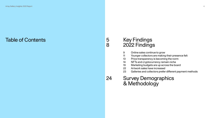## Key Findings 2022 Findings

- Online sales continue to grow
- Younger collectors are making their presence felt
- Price transparency is becoming the norm
- NFTs and cryptocurrency remain niche
- Marketing budgets are up across the board
- 22 Artwork sales have increased
- Galleries and collectors prefer different payment methods

#### 24 Survey Demographics & Methodology



Artsy Gallery Insights: 2022 Report 4

## Table of Contents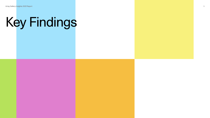# Key Findings

5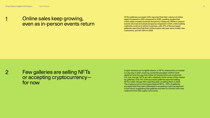Of the galleries surveyed, 64% reported that their volume of online sales increased in 2021 compared to 2020, quelling doubts that online sales models would be temporary measures. While in-person events returned and physical spaces reopened in 2021, online selling methods continue to attract business, with 47% of the surveyed galleries reporting that their online buyers last year were mostly new customers, up from 39% in 2020.

Crypto-backed non-fungible tokens, or NFTs, entered the art market in a big way in 2021, marking a potential paradigm shift for both digital art and the way that online art transactions are conducted. For now, though, NFTs are still a relatively niche corner of the market for galleries. Only 11% of the surveyed galleries reported selling NFTs in 2021, though 25% said they plan on selling them in 2022. The cryptocurrency trend goes beyond NFTs—30% of galleries surveyed said they were interested in accepting crypto as payment in the future, suggesting that galleries are keen to connect with new collectors from the crypto community.



1

2

#### Online sales keep growing, even as in-person events return

Few galleries are selling NFTs or accepting cryptocurrency for now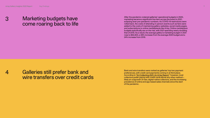After the pandemic cratered galleries' operational budgets in 2020, marketing became a significant line item across the board in 2021, eclipsing even pre-pandemic numbers. As COVID-19 restrictions were rolled back, the costs of attending in-person events such as fairs were added to the costs of maintaining gallery websites, social media pages, and subscriptions to online marketplaces like Artsy. Online marketplace budgets specifically are on the rise, with 2021 spending nearly doubling that of 2019. As a result, the average gallery's marketing budget in 2021 rose to \$92,800, a 38% increase from the average 2020 budget and a 24% increase from 2019.

Bank and wire transfers were ranked as galleries' top two payment preferences, with credit card payments coming in at third place. According to ["Art Collecting 2021: An Artsy Report,](https://partners.artsy.net/resource/art-collecting-2021-an-artsy-report/)" however, most collectors prefer paying with credit cards above any other method likely an outgrowth of new, digital-native collectors, and the increasing prevalence of online and app-based sales channels since the start of the pandemic.



3

4

### Marketing budgets have come roaring back to life

Galleries still prefer bank and wire transfers over credit cards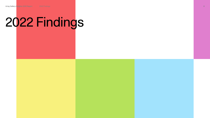# 2022 Findings

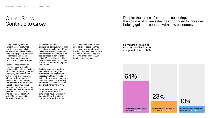## Online Sales Continue to Grow

Despite the return of in-person collecting, the volume of online sales has continued to increase, helping galleries connect with new collectors.

During the first year of the pandemic, galleries turned to online sales channels to remain connected with buyers. Sales through gallery websites, social media, and online marketplaces all became important sources of revenue.

Despite the resurgence of in-person sales channels, such as visiting fairs and galleries, the upward trend of digital sales has largely persisted in 2021, with more galleries than ever offering works for sale online namely 89% of respondents. This increase in works on offer online has been met with a hungry market: 64% of galleries claimed that the volume of their online sales increased in 2021 as compared to 2020, while 23% claimed that it remained the same.

> Galleries that saw their online sales volume stay the same

Digital sales channels have also proven particularly useful in reaching new collectors. Of the galleries surveyed, 71% saw an increase in new clients, and this can be traced in part to online sales: 47% of galleries said that online buyers were mostly new to their business in 2021, up from 39% in 2020.

Online marketing is similarly effective at attracting new customers: 46% of galleries reported that their website helped them reach the most new customers in 2021, followed by organic social channels at 42%, and email marketing at 19%.

Small galleries, categorized as those with one to three employees, have particularly benefited from the ability to connect with new buyers via

online channels. Nearly 50% of small galleries described their online buyers as mostly new to their business, and nearly 70% of that same cohort said they saw more first-time buyers in 2021 than the previous year.

How did the volume of your online sales in 2021 compare to that of 2020?

Galleries that saw their online

sales volume increase

23%

64%

Galleries that saw their online sales volume decrease





13%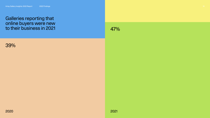#### 39%





#### Galleries reporting that online buyers were new to their business in 2021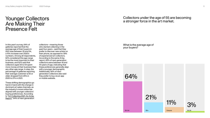#### Younger Collectors Are Making Their Presence Felt

#### Collectors under the age of 55 are becoming a stronger force in the art market.

In this year's survey, 64% of galleries reported that the average age of their buyers in 2021 was between 35 and 54, a 10% increase over 2020's numbers. Among all respondents, 62% considered this age range to be the most important to their business, and 52% said that collectors aged 35 to 54 spent more money at their business than any other age range. In step, the percentage of galleries reporting their average customer is 55 or older dropped from 25% in 2020 to 21% in 2021.

These shifting demographics go hand in hand with the change in dominant art sales channels, as the industry's move online has aligned with younger collectors' buying preferences. According to ["Art Collecting 2021: An Artsy](https://partners.artsy.net/resource/art-collecting-2021-an-artsy-report/)  [Report,](https://partners.artsy.net/resource/art-collecting-2021-an-artsy-report/)" 64% of next-generation

collectors—meaning those who started collecting in the past four years—said that they prefer to discover new artists on their phone, as opposed to 39% of experienced art collectors. According to the same Artsy report, 65% of next-generation collectors were between 18 and 44 years of age, indicating that these preferences generally align with a younger demographic. Additionally, 56% of nextgeneration collectors also said they prefer to buy via an app or mobile website.

What is the average age of your buyers?



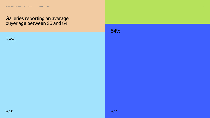2020 2021

#### 58%

#### 64%

#### Galleries reporting an average buyer age between 35 and 54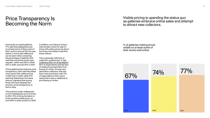## Price Transparency Is Becoming the Norm

Visible pricing is upending the status quo as galleries embrace online sales and attempt to attract new collectors.

Among the surveyed galleries, 77% said they displayed prices on at least some of their works in 2021, up from around 74% the year before. A more stark difference can be seen when comparing the percentage of galleries that said they only share prices upon request—which was 29% in 2019, 25% in 2020, and just 20% in 2021.

Of the galleries that embrace price transparency, 50% said they listed more works with visible pricing in 2021 than in 2020, while 47% said they listed about the same amount, signaling that among those who have adopted the practice, price transparency is here to stay.

This practice is also widespread on art marketplaces such as Artsy. In 2021, 75% of all works listed on Artsy carried a visible price, up from 69% in 2020 and 63% in 2019.

In addition, according to Artsy's internal data, works for sale on Artsy with public prices are about five times more likely to sell than those without.

This is generally reflective of collectors' preferences. In "Art [Collecting 2021: An Artsy Report,](https://partners.artsy.net/resource/art-collecting-2021-an-artsy-report/)" 62% of respondents said the lack of visible prices kept them from buying art online. Among nextgeneration collectors, this was even more prominent, with 71% of respondents in that cohort saying that it was a roadblock to purchasing art online.

% of galleries making prices visible on at least some of their works sold online



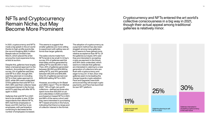#### NFTs and Cryptocurrency Remain Niche, but May Become More Prominent

Cryptocurrency and NFTs entered the art world's collective consciousness in a big way in 2021, though their actual appeal among traditional galleries is relatively minor.

In 2021, cryptocurrency and NFTs made a big splash in the art world thanks to high-profile events like the record-breaking \$69.3 million Beeple sale at Christie's last March, which placed the artist among the most expensive living artists at auction.

Despite this, galleries have largely taken a tempered approach to the medium. According to this year's survey, 11% of galleries said they sold NFTs in 2021, though 25% said they planned on including NFTs in their sales approach in 2022, while 28% were undecided. Of the galleries that sold NFTs in 2021, 68% said their collector base expressed interest in the format, and 87% said they will offer NFTs again in 2022.

Galleries that sold NFTs in 2021 tend to be smaller in size. Of the respondents that offered NFTs, 66% had three employees or fewer, and 15% had four to six employees, with participation continuing to decrease as the number of employees increased.

This seems to suggest that smaller galleries are more willing to experiment with selling new art forms than larger galleries.

The sales volume made from NFTs tends to be small: In Artsy's survey, 51% of galleries said the total sales volume generated by selling NFTs was \$5,000 or less. Then, 20% of galleries generated between \$5,000 and \$14,999 by selling NFTs, and 15% generated between \$15,000 and \$49,999. Only 5% of galleries earned over \$250,000 selling NFTs in 2021.

However, according to Art Basel and UBS's report "The Art Market 2022," 74% of high-net-worth collectors—defined as those who spent more than \$10,000 on art and collectibles in 2020 and 2021 purchased art-based NFTs in 2021, and 88% of the same cohort said they were interested in purchasing NFT-based artworks in the future, indicating that there is a large pool of collector interest in the format.

The adoption of cryptocurrency as a payment method has also been sluggish among many galleries, but it seems to have gained more relative acceptance than NFTs. Of the galleries surveyed, 30% said they are interested in accepting crypto as payment in the future, and 26% were undecided, which seems to indicate that galleries are interested in catering to a new generation of collectors who are flush with cryptocurrency and eager to buy art. In fact, blue-chip galleries seem to be leading the charge towards crypto adoption: Pace and Gagosian have both announced they will accept crypto payments, and Pace has launched its own NFT platform.

> Galleries that sold NFTs in 2021

11%

Galleries planning to sell NFTs in 2022

25%

Galleries interested in accepting cryptocurrency in the near future





30%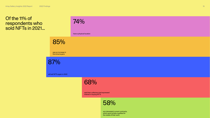have a physical location

74%

saw an increase in first-time buyers

## 85%

will sell NFTs again in 2022

87%

said their collectors had expressed interest in buying NFTs



68%

are interested in smart contracts, which grant artists royalties for the resale of their work



## 58%

#### Of the 11% of respondents who sold NFTs in 2021…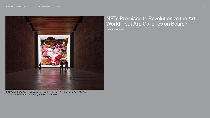#### NFTs Promised to Revolutionize the Art World—but Are Galleries on Board?

Josie Thaddeus-Johns





Refik Anadol, *Machine Hallucinations — Nature Dreams / AI Data Sculpture* (2021) at KÖNIG GALERIE, Berlin. Courtesy of KÖNIG GALERIE.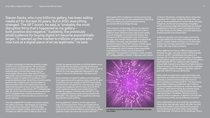It's been impossible to miss the growth in sales of NFTs (non-fungible tokens). The exorbitant sums paid for several high-profile, blockchainauthenticated artworks has made them an unavoidable talking point. Now that NFTs are frequently used as certificates of ownership for different types of media, from profile pic (PFP) projects like Bored Ape Yacht Club, to performative gestures like Cassils's cans of poop based on famous artists' diets, the traditional art-world distinction between artwork and collectible has seemed, at times, under threat. NFT marketplaces, after all, are far more inclusive of newcomers than the art establishment, and there are plenty of platforms where artists are able to connect with buyers directly.

This has enabled NFT artists to succeed outside the gallery structure. Take Beeple, for example, whose infamous *Everydays: The First 5000 Days* (2021), a digital collage, sold as an NFT at Christie's for \$69.3 million in March 2021. This

month, he opened and sold out his first gallery show (reportedly the first gallery opening he has ever attended) at Jack Hanley Gallery. With a year of NFTs behind us, how have galleries responded to this surge in interest for blockchain-certified work?

Artsy recently surveyed its gallery partners about their experience with cryptocurrency and NFTs, and found that just over a tenth of the 873 respondents said that they had sold NFTs in the last year. Artsy's survey also suggests that the value of most NFTs sold in galleries may be more modest than the headlines suggest: Of those that sold NFTs, only 5% of galleries said the works' prices totaled over \$250,000. The majority (51%) of galleries sold less than \$5,000 worth of NFTs.

Among galleries I spoke to on the topic, there was a broad agreement: There are traditional art collectors, and then there are NFT collectors, and each group has entirely different expectations. Many galleries might not come into contact with NFT

aficionados (67% of galleries in Artsy's survey said that their clients had not even asked about collecting NFTs), but there are several that are making concerted efforts to bridge the gap.

Unit London's Joe Kennedy, who co-founded the gallery with Jonny Burt in 2013 without a built-in collector base, had previously used social media, such as Instagram, to connect with buyers. But the boom in NFTs presented a new community: younger, tech-literate clients ready to engage with the gallery. Kennedy was attracted to the open, disruptive nature of the NFT market: "All the issues of accessibility in the art world stem from a lack of transparency. And it creates a very inequitable marketplace for artists, and sometimes for collectors." His approach resulted in a new, curated NFT-selling platform, Institut. It debuted with a show of almost 100 artists, curated by Kenny Schachter, including "NFT-native" artists like Olive Allen, as well as more established art world names, like Jake Chapman. As the venture develops, the gallery will be working further with artists that are already established in the NFT world, he explained, such as Tyler Hobbs and IX Shells, who both featured in Institut's booth at Art Dubai 2022.

Institut is reaching out to the crypto community through platforms normally eschewed by the art world—notably Twitter and Discord. On the latter, Institut has a private channel for collectors and artists, with over 2,000 members.

Other galleries are taking a different approach to bridging the gap. Last year, Johann König founded misa.art, an NFT marketplace that caters to a younger set of collectors than his blue-chip gallery König Galerie usually works with. Indeed, the gallery itself still sells NFTs on platforms like Opensea, where Refik Anadol's work *Machine Hallucinations – Nature Dreams : AI Data Sculpture* (2021), exhibited at the gallery's Berlin location in late 2021, sold for just over 300 ETH (around \$870,000).

Misa, which accepts both crypto and credit card payments, and offers technical help via a Discord channel, is aimed at individuals who need no hand-holding in purchasing NFTs. "The good thing about Misa is that it provides the visitor with so much information that they can make an educated decision," said Johann König. By contrast, König characterized the gallery itself as being about "serving artists." He added, "We focus a lot on placing work in museums. A platform can't do that, but for young artists, young collectors, it works."

Pace, meanwhile, set up an entirely new platform, Pace Verso, late last year, which will offer monthly drops from artists in and outside of its program (Lucas Samaras and Glenn Kaino have already been featured). Christiana Ine-Kimba Boyle, Pace's





Leo Villareal, *Cosmic Reef #125*, 2022. © Leo Villareal, courtesy Pace Gallery.

Steven Sacks, who runs bitforms gallery, has been selling media art for the last 20 years. But in 2021, everything changed. The NFT boom, he said, is "probably the most disruptive thing that's happened to my gallery both positive and negative." Suddenly, the previously small audience for buying digital art became exponentially larger: "It opened up the market to millions of people who now look at a digital piece of art as legitimate," he said.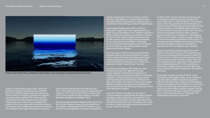director of online sales, sees crypto-native and traditional collectors becoming more unified in the future. While the gallery has been helping (or "hand-holding") its regular collectors through the intricacies of purchasing NFTs, there was also movement in the other direction, she explained: "Verso gives us an opportunity to engage with collectors from the crypto side that we would like to convert into more traditional art collectors. In theory, it's no different from client development, trying to

learn exactly what they like and what they may want." One collector in particular, she explained, has bought an NFT at every one of Pace's drops so far, and is now interested in other artists on its roster, like Adam Pendleton and William Monk.

At German gallery Galerie Nagel Draxler (which, like Unit London, tapped crypto-art enthusiast Kenny Schachter to inaugurate their NFT program), only a few NFT buyers had been converted to the gallery's

As for the future of NFTs in the art world, Draxler was also adamant that there would be no future without clean blockchain technology, referring to energy-guzzling proof-of-work technology that some blockchains currently run on. "If this is not resolved, it doesn't have a future," she said.

regular programming. "It's not common, but it's growing," said gallery co-founder Saskia Draxler, noting that there was interest from these buyers in artists like Christine Wang and Martin Kippenberger.

Galerie Nagel Draxler shows NFT works in a dedicated "crypto kiosk" that, beginning this year, takes up one of the gallery's two exhibition spaces in Berlin, and has also popped up in booths at several art fairs. This IRL space creates interactions that Draxler sees as vital to bridging the gap between the art and crypto communities. For example, at Art Cologne last fall, the gallery sold a Schachter work to a collector who usually collects Joseph Beuys and Jonathan Meese.

In contrast to building an NFT platform, a less intensive entry point for galleries courting crypto collectors might be the acceptance of cryptocurrency as a payment method for traditional artworks. In Artsy's survey, 30% of respondents said they planned to take this step in the next few years. For crypto-rich collectors who have a vested interest in keeping their gains out of traditional, or fiat, currency, this could make purchasing art a much more attractive prospect.

Or could it? Rachel Lehmann, co-founder of Lehmann Maupin, explained that the gallery started accepting crypto payments in summer 2021. And yet, until now, this option has been selected by only a handful of clients, she said. The gallery hasn't seen an influx of newly interested crypto-enthusiastic art buyers. "Not yet," she said.

On March 11th, Lehmann Maupin launched a new virtual space to exhibit augmented reality (AR) works sold as NFTs, called CollectAR. The platform, which will be inaugurated with Ashley Bickerton's "Ocean Chunks" series, allows for artworks from the gallery's program to be digitally superimposed on our real-world surroundings via QR code. The works will be for sale beginning March 29th. Lehmann sees this platform as a "bridge into understanding different communities," as well as a way of offering an immersive viewing experience of the artwork. "It changes everything. Rather than seeing something two-dimensionally, we have the possibility to experience it in a very different way," she said.

Indeed, it seems like gallery involvement in NFT sales is set to grow: A quarter of the galleries from Artsy's survey reported that they plan to sell NFTs in 2022, which is a 150% increase from the number that said they actually sold them in 2021. There are encouraging signs for artists, too: Of the galleries that are already selling NFTs, 58% said they are interested in seeking ways to provide artists with smart contracts that grant royalties for the resale of their work.

Meanwhile, as galleries' sales of NFTs—which are predominantly digital media—grow, collectors may start asking different questions, explained bitforms's Steven Sacks. "A big part of the dialogue between the gallery and the collector is: How do you present the work? Can we present more than one work on a screen? What's going to happen if the file fails? There's this discussion about the foundation of art, which is the experience," Sacks said. "It's unbelievably important to everyone."





Krista Kim, *8x8 XR*, 2021, 3:08, in collaboration with Jose Igarza, music by Ligovskoï. Courtesy the artist and Unit London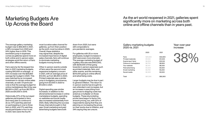### Marketing Budgets Are Up Across the Board

38%





Year-over-year increase

The average gallery marketing budget rose to \$92,800 in 2021, a 38% increase from 2020 and 24% higher than in 2019. This exorbitant jump in expenses comes as galleries spend more on both online and in-person sales strategies amid the return of fairs and other offline events.

Fairs were by far the largest line item in 2021 marketing budgets, costing \$42,600 on average—a 43% increase over the \$29,800 average fair budget in 2020. This was matched by an increased investment in certain online sales channels, as well. Of particular note is that the average budget for online marketplaces like Artsy was \$8,900 in 2021, up from \$6,700 in 2020 and \$4,500 in 2019.

Historically, 67% of the surveyed galleries participated in fairs, and many plan to continue to do so: 47% said they planned on participating in one to three fairs in 2022, and 17% said they would participate in four to six. In 2021, fairs were the fourth-

most lucrative sales channel for galleries, up from their position as the sixth-most lucrative in 2020. Overall, these statistics may signal that, despite the increased importance of digital sales channels, fairs will continue to dominate marketing budgets moving forward.

Other in-person events outside of fairs were the second-most expensive budgetary concern in 2021, with an average price of \$13,100, up from \$6,900 in 2020. Printed materials saw a similar jump in budgetary prominence, going from \$7,000 in 2020 to \$11,000 in 2021.

Digital spending saw similar increases. In addition to the aforementioned increase in online marketplace budgets, spending on websites and social media also increased substantially from 2020, likely reflecting the success those channels brought in that year. Email marketing and paid advertising budgets were both

down from 2020, but were still comparable to pre-pandemic averages.

For galleries with 25 or more employees, budget increases in 2021 were even more dramatic. The average marketing budget of a gallery this size was \$453,000, with \$239,000 of that going towards in-person expenses such as printed materials, fairs, and other events, and the remaining \$214,000 going to online efforts and advertising costs.

Larger budgets may be due in part to general inflation. The return to in-person events has brought its own attendant cost increases, but an increase in everything from gas prices to shipping costs has acted as a multiplier on those budgets. These skyrocketing prices have begun to factor into artwork pricing, too, with 22% of respondents saying that they are planning on increasing the prices on their works due to inflation, and 34% saying they are unsure.

#### As the art world reopened in 2021, galleries spent significantly more on marketing across both online and offline channels than in years past.

|                          | 2020     | 2021     |
|--------------------------|----------|----------|
| Fairs                    | \$29,800 | \$42,600 |
| <b>Printed materials</b> | \$7,000  | \$11,000 |
| Events (excl. fairs)     | \$6,900  | \$13,100 |
| Online art marketplace   | \$6,700  | \$8,900  |
| Your website             | \$6,100  | \$6,000  |
| Paid advertising         | \$4,500  | \$4,500  |
| <b>Email marketing</b>   | \$3,700  | \$3,200  |
| Social media             | \$2,500  | \$3,500  |
|                          |          |          |
| Total                    | \$67,200 | \$92,800 |

#### Gallery marketing budgets 2020 vs. 2021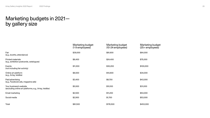### Marketing budgets in 2021 by gallery size

| Fair<br>(e.g., booths, attendance)                                                | \$39,000 |
|-----------------------------------------------------------------------------------|----------|
| <b>Printed materials</b><br>(e.g., exhibition postcards, catalogues)              | \$8,400  |
| Events<br>(not including fair activity)                                           | \$11,300 |
| Online art platform<br>(e.g., Artsy, 1stdibs)                                     | \$8,500  |
| Paid advertising<br>(e.g., Facebook ads, magazine ads)                            | \$3,400  |
| Your business's website<br>(excluding online art platforms, e.g., Artsy, 1stdibs) | \$5,500  |
| <b>Email marketing</b>                                                            | \$2,500  |
| Social media                                                                      | \$2,900  |
| Total                                                                             | \$81,500 |

| <b>Marketing budget</b><br>(10-24 employees) | <b>Marketing budget</b><br>(25+ employees) |
|----------------------------------------------|--------------------------------------------|
| \$81,600                                     | \$64,000                                   |
| \$24,400                                     | \$75,000                                   |
| \$30,200                                     | \$100,000                                  |
| \$10,600                                     | \$34,000                                   |
| \$8,700                                      | \$43,000                                   |
| \$10,100                                     | \$31,000                                   |
| \$11,200                                     | \$53,000                                   |
| \$1,700                                      | \$53,000                                   |
| \$178,500                                    | \$453,000                                  |



Marketing budget (1-9 employees)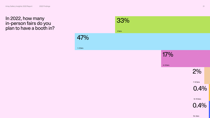#### In 2022, how many in-person fairs do you plan to have a booth in?

## 33%

1–3 fairs

47%

4–6 fairs

## 17%

7–10 fairs



15+ fairs

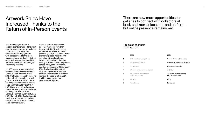### Artwork Sales Have Increased Thanks to the Return of In-Person Events

#### There are now more opportunities for galleries to connect with collectors at brick-and-mortar locations and art fairs but online presence remains key.

#### 2020

| $\mathbf{1}$   | Outreach to existing clients                       | Outreach to existing clients                       |
|----------------|----------------------------------------------------|----------------------------------------------------|
| 2              | My gallery's website                               | Walk-ins to your physical space                    |
| 3              | Social media                                       | My gallery's website                               |
| $\overline{4}$ | Walk-ins to your physical space                    | Art fairs                                          |
| 5              | An online art marketplace<br>(e.g. Artsy, 1stdibs) | An online art marketplace<br>(e.g. Artsy, 1stdibs) |
| 6              | <b>Art fairs</b>                                   | Other                                              |
|                | Art advisors                                       | Instagram                                          |

2021

Unsurprisingly, outreach to existing clients remained the most surefire sales strategy for galleries in 2021, with 21% reporting that this type of engagement with collectors led to the most business. More marked shifts that occurred between 2020 and 2021 pertain to galleries' reopening of physical operations.

In 2020, sales through galleries' websites were the second-most lucrative sales channel, but in 2021, that was eclipsed by walk-ins to their physical locations, which jumped from 6% of respondents claiming it as their most lucrative sales channel in 2020 to 20% in 2021. Sales at art fairs also saw a sharp rise, with just 5% of galleries claiming fairs as their most lucrative channel in 2020 to 13% in 2021. Overall, 36% of galleries said that in-person events (including fairs) were their most successful sales channel in 2021.

While in-person events have become more lucrative than they were in 2020, online sales strategies remain an important part of a gallery's business. Online art marketplaces were the fifthmost lucrative sales channel in both 2020 and 2021, holding steady at around 12% of responses across both years. During the pandemic closures of 2020, nearly 12% of galleries said that their most lucrative sales route was through social media. While that number dropped to 5% in 2021, it still remains higher than pre-pandemic figures.

#### Top sales channels 2020 vs. 2021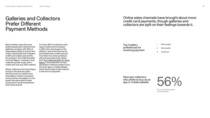#### Online sales channels have brought about more credit card payments, though galleries and collectors are split on their feelings towards it.

- 1 Bank transfer
- 2 Wire transfer
- 3 Credit card

From Art Collecting 2021: An Artsy Report

### Galleries and Collectors Prefer Different Payment Methods

Bank transfers were the most preferred payment method of the galleries surveyed, with 48% of respondents listing it as their first choice, followed by wire transfers at 38% and credit cards at 35%. According to "Art Collecting 2021: An Artsy Report," however, most collectors prefer to pay with a credit card over any other method.

Newer collectors who have begun buying in the past two years have found an art market more amenable to instant connection and purchase, and appear to now expect the same level of ease across all art world transactions, both online and off.

On Artsy, 80% of collectors who used a credit card to transact in 2021 were new buyers to the platform, and works that can be purchased with a credit card are more than four times as likely to sell as those without the option. And ["Art Collecting 2021: An Artsy](https://partners.artsy.net/resource/art-collecting-2021-an-artsy-report/)  [Report"](https://partners.artsy.net/resource/art-collecting-2021-an-artsy-report/) found that 56% of nextgeneration collectors prefer to buy art via an app or mobile website, which tend to take credit cards as a main form of payment.

Top 3 gallery preferences for receiving payment

Next-gen collectors who prefer to buy via an app or mobile website

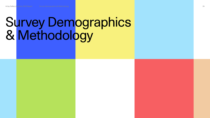## Survey Demographics & Methodology

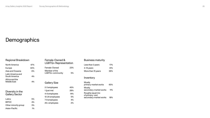## Demographics

#### Regional Breakdown

| <b>North America</b>                             | 47%   |
|--------------------------------------------------|-------|
| Europe                                           | 40%   |
| Asia and Oceania                                 | 6%    |
| <b>Latin America and</b><br><b>South America</b> | $4\%$ |
| Africa and the<br>Middle East                    |       |

#### Diversity in the Gallery Sector

| Latinx               | 5%    |
|----------------------|-------|
| <b>BIPOC</b>         | 4%    |
| Other minority group | 3%    |
| Asian-Pacific        | $1\%$ |

#### Female-Owned & LGBTQ+ Representation

| Female-Owned                      | 23% |
|-----------------------------------|-----|
| Member of the<br>LGBTQ+ community | 5%  |
| <b>Gallery Size</b>               |     |
| 2-3 employees                     | 45% |
| 1 (just me)                       | 28% |
| 4-6 employees                     | 14% |

10-24 employees 5%

7-9 employees 4%

25+ employees 2%

#### Business maturity

| Less than 3 years                                              | 17% |  |
|----------------------------------------------------------------|-----|--|
| 3-15 years                                                     | 41% |  |
| More than 15 years                                             | 36% |  |
|                                                                |     |  |
| Inventory                                                      |     |  |
| Mostly<br>primary-market works                                 | 65% |  |
| Mostly<br>secondary-market works                               | 11% |  |
| Roughly equal mix<br>of primary- and<br>secondary-market works | 18% |  |

| Less than 3 years                         | 17%    |
|-------------------------------------------|--------|
| 3–15 years                                | 41%    |
| More than 15 years                        | 36%    |
|                                           |        |
| Inventory                                 |        |
| Mostly                                    |        |
| primary-market works                      | 65%    |
| Mostly                                    |        |
| secondary-market works                    | $11\%$ |
| Roughly equal mix                         |        |
| of primary- and<br>secondary-market works | 18%    |
|                                           |        |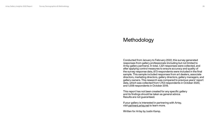#### Methodology

Conducted from January to February 2022, this survey generated responses from gallery professionals (including but not limited to Artsy gallery partners). In total, 1,321 responses were collected, and after applying control measures to ensure accuracy and quality of the survey response data, 873 respondents were included in the final sample. This sample included responses from art dealers, associate directors, marketing directors, gallery directors, gallery managers, and gallery owners. This research was compared to previous years' report data, which was collected from 1,753 respondents in October 2020, and 1,008 respondents in October 2019.

If your gallery is interested in partnering with Artsy, visit [partners.artsy.net](http://partners.artsy.net) to learn more.

This report has not been created for any specific gallery and its findings should be taken as general advice. Results are not guaranteed.

Written for Artsy by Justin Kamp.